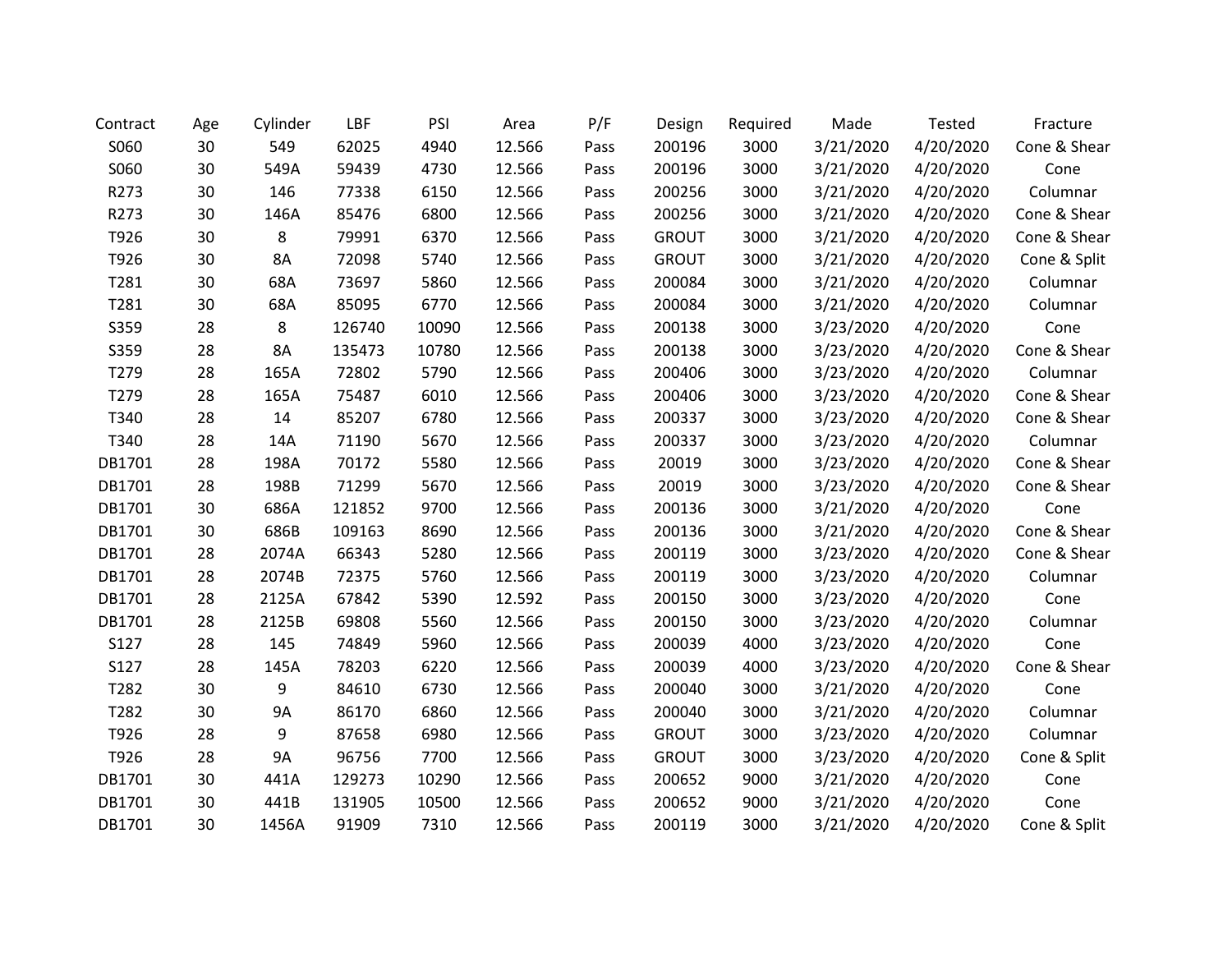| Contract | Age | Cylinder  | LBF    | PSI   | Area   | P/F  | Design       | Required | Made      | <b>Tested</b> | Fracture     |
|----------|-----|-----------|--------|-------|--------|------|--------------|----------|-----------|---------------|--------------|
| S060     | 30  | 549       | 62025  | 4940  | 12.566 | Pass | 200196       | 3000     | 3/21/2020 | 4/20/2020     | Cone & Shear |
| S060     | 30  | 549A      | 59439  | 4730  | 12.566 | Pass | 200196       | 3000     | 3/21/2020 | 4/20/2020     | Cone         |
| R273     | 30  | 146       | 77338  | 6150  | 12.566 | Pass | 200256       | 3000     | 3/21/2020 | 4/20/2020     | Columnar     |
| R273     | 30  | 146A      | 85476  | 6800  | 12.566 | Pass | 200256       | 3000     | 3/21/2020 | 4/20/2020     | Cone & Shear |
| T926     | 30  | 8         | 79991  | 6370  | 12.566 | Pass | <b>GROUT</b> | 3000     | 3/21/2020 | 4/20/2020     | Cone & Shear |
| T926     | 30  | 8A        | 72098  | 5740  | 12.566 | Pass | <b>GROUT</b> | 3000     | 3/21/2020 | 4/20/2020     | Cone & Split |
| T281     | 30  | 68A       | 73697  | 5860  | 12.566 | Pass | 200084       | 3000     | 3/21/2020 | 4/20/2020     | Columnar     |
| T281     | 30  | 68A       | 85095  | 6770  | 12.566 | Pass | 200084       | 3000     | 3/21/2020 | 4/20/2020     | Columnar     |
| S359     | 28  | 8         | 126740 | 10090 | 12.566 | Pass | 200138       | 3000     | 3/23/2020 | 4/20/2020     | Cone         |
| S359     | 28  | 8A        | 135473 | 10780 | 12.566 | Pass | 200138       | 3000     | 3/23/2020 | 4/20/2020     | Cone & Shear |
| T279     | 28  | 165A      | 72802  | 5790  | 12.566 | Pass | 200406       | 3000     | 3/23/2020 | 4/20/2020     | Columnar     |
| T279     | 28  | 165A      | 75487  | 6010  | 12.566 | Pass | 200406       | 3000     | 3/23/2020 | 4/20/2020     | Cone & Shear |
| T340     | 28  | 14        | 85207  | 6780  | 12.566 | Pass | 200337       | 3000     | 3/23/2020 | 4/20/2020     | Cone & Shear |
| T340     | 28  | 14A       | 71190  | 5670  | 12.566 | Pass | 200337       | 3000     | 3/23/2020 | 4/20/2020     | Columnar     |
| DB1701   | 28  | 198A      | 70172  | 5580  | 12.566 | Pass | 20019        | 3000     | 3/23/2020 | 4/20/2020     | Cone & Shear |
| DB1701   | 28  | 198B      | 71299  | 5670  | 12.566 | Pass | 20019        | 3000     | 3/23/2020 | 4/20/2020     | Cone & Shear |
| DB1701   | 30  | 686A      | 121852 | 9700  | 12.566 | Pass | 200136       | 3000     | 3/21/2020 | 4/20/2020     | Cone         |
| DB1701   | 30  | 686B      | 109163 | 8690  | 12.566 | Pass | 200136       | 3000     | 3/21/2020 | 4/20/2020     | Cone & Shear |
| DB1701   | 28  | 2074A     | 66343  | 5280  | 12.566 | Pass | 200119       | 3000     | 3/23/2020 | 4/20/2020     | Cone & Shear |
| DB1701   | 28  | 2074B     | 72375  | 5760  | 12.566 | Pass | 200119       | 3000     | 3/23/2020 | 4/20/2020     | Columnar     |
| DB1701   | 28  | 2125A     | 67842  | 5390  | 12.592 | Pass | 200150       | 3000     | 3/23/2020 | 4/20/2020     | Cone         |
| DB1701   | 28  | 2125B     | 69808  | 5560  | 12.566 | Pass | 200150       | 3000     | 3/23/2020 | 4/20/2020     | Columnar     |
| S127     | 28  | 145       | 74849  | 5960  | 12.566 | Pass | 200039       | 4000     | 3/23/2020 | 4/20/2020     | Cone         |
| S127     | 28  | 145A      | 78203  | 6220  | 12.566 | Pass | 200039       | 4000     | 3/23/2020 | 4/20/2020     | Cone & Shear |
| T282     | 30  | 9         | 84610  | 6730  | 12.566 | Pass | 200040       | 3000     | 3/21/2020 | 4/20/2020     | Cone         |
| T282     | 30  | 9A        | 86170  | 6860  | 12.566 | Pass | 200040       | 3000     | 3/21/2020 | 4/20/2020     | Columnar     |
| T926     | 28  | 9         | 87658  | 6980  | 12.566 | Pass | <b>GROUT</b> | 3000     | 3/23/2020 | 4/20/2020     | Columnar     |
| T926     | 28  | <b>9A</b> | 96756  | 7700  | 12.566 | Pass | <b>GROUT</b> | 3000     | 3/23/2020 | 4/20/2020     | Cone & Split |
| DB1701   | 30  | 441A      | 129273 | 10290 | 12.566 | Pass | 200652       | 9000     | 3/21/2020 | 4/20/2020     | Cone         |
| DB1701   | 30  | 441B      | 131905 | 10500 | 12.566 | Pass | 200652       | 9000     | 3/21/2020 | 4/20/2020     | Cone         |
| DB1701   | 30  | 1456A     | 91909  | 7310  | 12.566 | Pass | 200119       | 3000     | 3/21/2020 | 4/20/2020     | Cone & Split |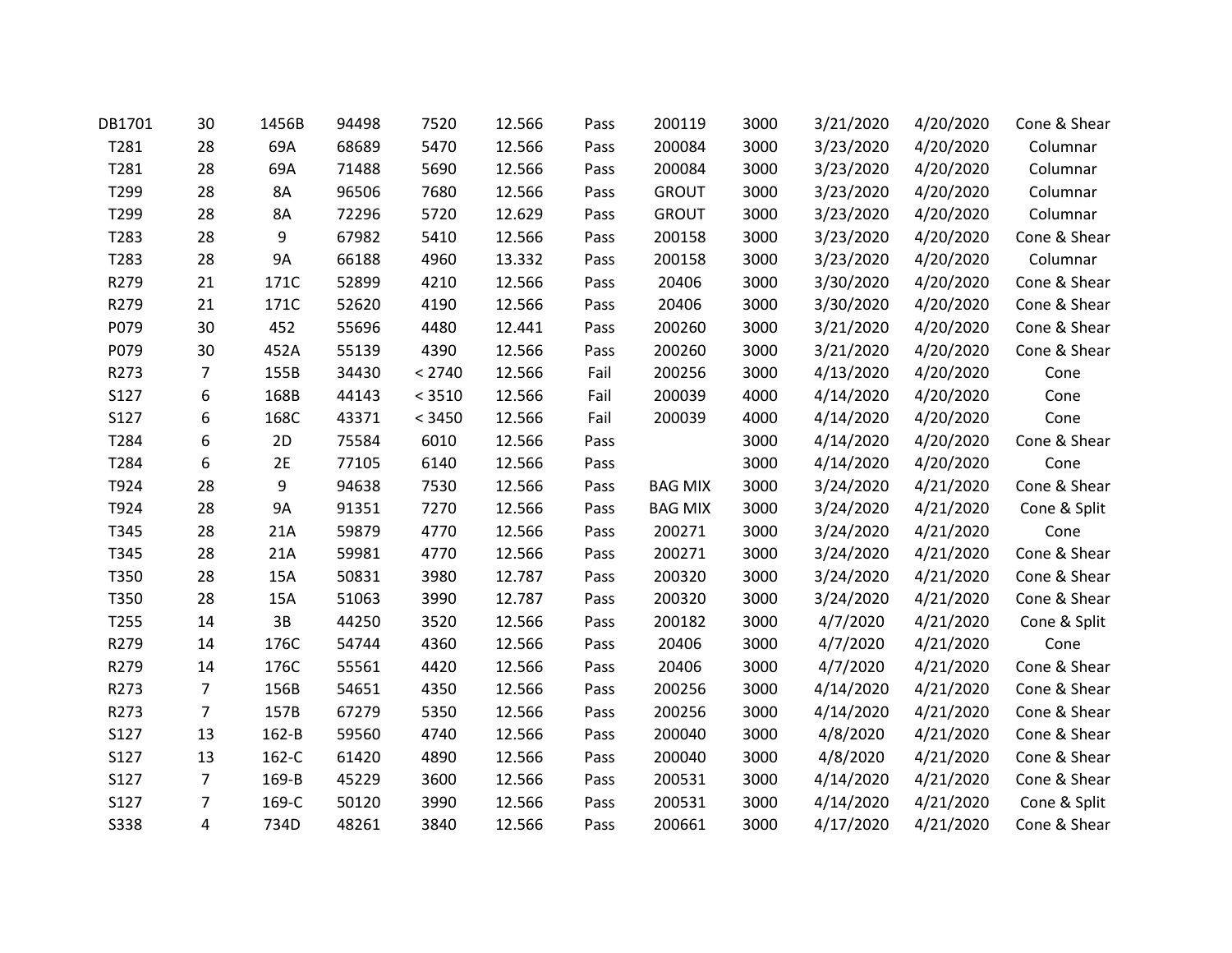| DB1701 | 30 | 1456B     | 94498 | 7520   | 12.566 | Pass | 200119         | 3000 | 3/21/2020 | 4/20/2020 | Cone & Shear |
|--------|----|-----------|-------|--------|--------|------|----------------|------|-----------|-----------|--------------|
| T281   | 28 | 69A       | 68689 | 5470   | 12.566 | Pass | 200084         | 3000 | 3/23/2020 | 4/20/2020 | Columnar     |
| T281   | 28 | 69A       | 71488 | 5690   | 12.566 | Pass | 200084         | 3000 | 3/23/2020 | 4/20/2020 | Columnar     |
| T299   | 28 | 8A        | 96506 | 7680   | 12.566 | Pass | <b>GROUT</b>   | 3000 | 3/23/2020 | 4/20/2020 | Columnar     |
| T299   | 28 | 8A        | 72296 | 5720   | 12.629 | Pass | <b>GROUT</b>   | 3000 | 3/23/2020 | 4/20/2020 | Columnar     |
| T283   | 28 | 9         | 67982 | 5410   | 12.566 | Pass | 200158         | 3000 | 3/23/2020 | 4/20/2020 | Cone & Shear |
| T283   | 28 | <b>9A</b> | 66188 | 4960   | 13.332 | Pass | 200158         | 3000 | 3/23/2020 | 4/20/2020 | Columnar     |
| R279   | 21 | 171C      | 52899 | 4210   | 12.566 | Pass | 20406          | 3000 | 3/30/2020 | 4/20/2020 | Cone & Shear |
| R279   | 21 | 171C      | 52620 | 4190   | 12.566 | Pass | 20406          | 3000 | 3/30/2020 | 4/20/2020 | Cone & Shear |
| P079   | 30 | 452       | 55696 | 4480   | 12.441 | Pass | 200260         | 3000 | 3/21/2020 | 4/20/2020 | Cone & Shear |
| P079   | 30 | 452A      | 55139 | 4390   | 12.566 | Pass | 200260         | 3000 | 3/21/2020 | 4/20/2020 | Cone & Shear |
| R273   | 7  | 155B      | 34430 | < 2740 | 12.566 | Fail | 200256         | 3000 | 4/13/2020 | 4/20/2020 | Cone         |
| S127   | 6  | 168B      | 44143 | < 3510 | 12.566 | Fail | 200039         | 4000 | 4/14/2020 | 4/20/2020 | Cone         |
| S127   | 6  | 168C      | 43371 | < 3450 | 12.566 | Fail | 200039         | 4000 | 4/14/2020 | 4/20/2020 | Cone         |
| T284   | 6  | 2D        | 75584 | 6010   | 12.566 | Pass |                | 3000 | 4/14/2020 | 4/20/2020 | Cone & Shear |
| T284   | 6  | 2E        | 77105 | 6140   | 12.566 | Pass |                | 3000 | 4/14/2020 | 4/20/2020 | Cone         |
| T924   | 28 | 9         | 94638 | 7530   | 12.566 | Pass | <b>BAG MIX</b> | 3000 | 3/24/2020 | 4/21/2020 | Cone & Shear |
| T924   | 28 | 9A        | 91351 | 7270   | 12.566 | Pass | <b>BAG MIX</b> | 3000 | 3/24/2020 | 4/21/2020 | Cone & Split |
| T345   | 28 | 21A       | 59879 | 4770   | 12.566 | Pass | 200271         | 3000 | 3/24/2020 | 4/21/2020 | Cone         |
| T345   | 28 | 21A       | 59981 | 4770   | 12.566 | Pass | 200271         | 3000 | 3/24/2020 | 4/21/2020 | Cone & Shear |
| T350   | 28 | 15A       | 50831 | 3980   | 12.787 | Pass | 200320         | 3000 | 3/24/2020 | 4/21/2020 | Cone & Shear |
| T350   | 28 | 15A       | 51063 | 3990   | 12.787 | Pass | 200320         | 3000 | 3/24/2020 | 4/21/2020 | Cone & Shear |
| T255   | 14 | 3B        | 44250 | 3520   | 12.566 | Pass | 200182         | 3000 | 4/7/2020  | 4/21/2020 | Cone & Split |
| R279   | 14 | 176C      | 54744 | 4360   | 12.566 | Pass | 20406          | 3000 | 4/7/2020  | 4/21/2020 | Cone         |
| R279   | 14 | 176C      | 55561 | 4420   | 12.566 | Pass | 20406          | 3000 | 4/7/2020  | 4/21/2020 | Cone & Shear |
| R273   | 7  | 156B      | 54651 | 4350   | 12.566 | Pass | 200256         | 3000 | 4/14/2020 | 4/21/2020 | Cone & Shear |
| R273   | 7  | 157B      | 67279 | 5350   | 12.566 | Pass | 200256         | 3000 | 4/14/2020 | 4/21/2020 | Cone & Shear |
| S127   | 13 | 162-B     | 59560 | 4740   | 12.566 | Pass | 200040         | 3000 | 4/8/2020  | 4/21/2020 | Cone & Shear |
| S127   | 13 | 162-C     | 61420 | 4890   | 12.566 | Pass | 200040         | 3000 | 4/8/2020  | 4/21/2020 | Cone & Shear |
| S127   | 7  | 169-B     | 45229 | 3600   | 12.566 | Pass | 200531         | 3000 | 4/14/2020 | 4/21/2020 | Cone & Shear |
| S127   | 7  | 169-C     | 50120 | 3990   | 12.566 | Pass | 200531         | 3000 | 4/14/2020 | 4/21/2020 | Cone & Split |
| S338   | 4  | 734D      | 48261 | 3840   | 12.566 | Pass | 200661         | 3000 | 4/17/2020 | 4/21/2020 | Cone & Shear |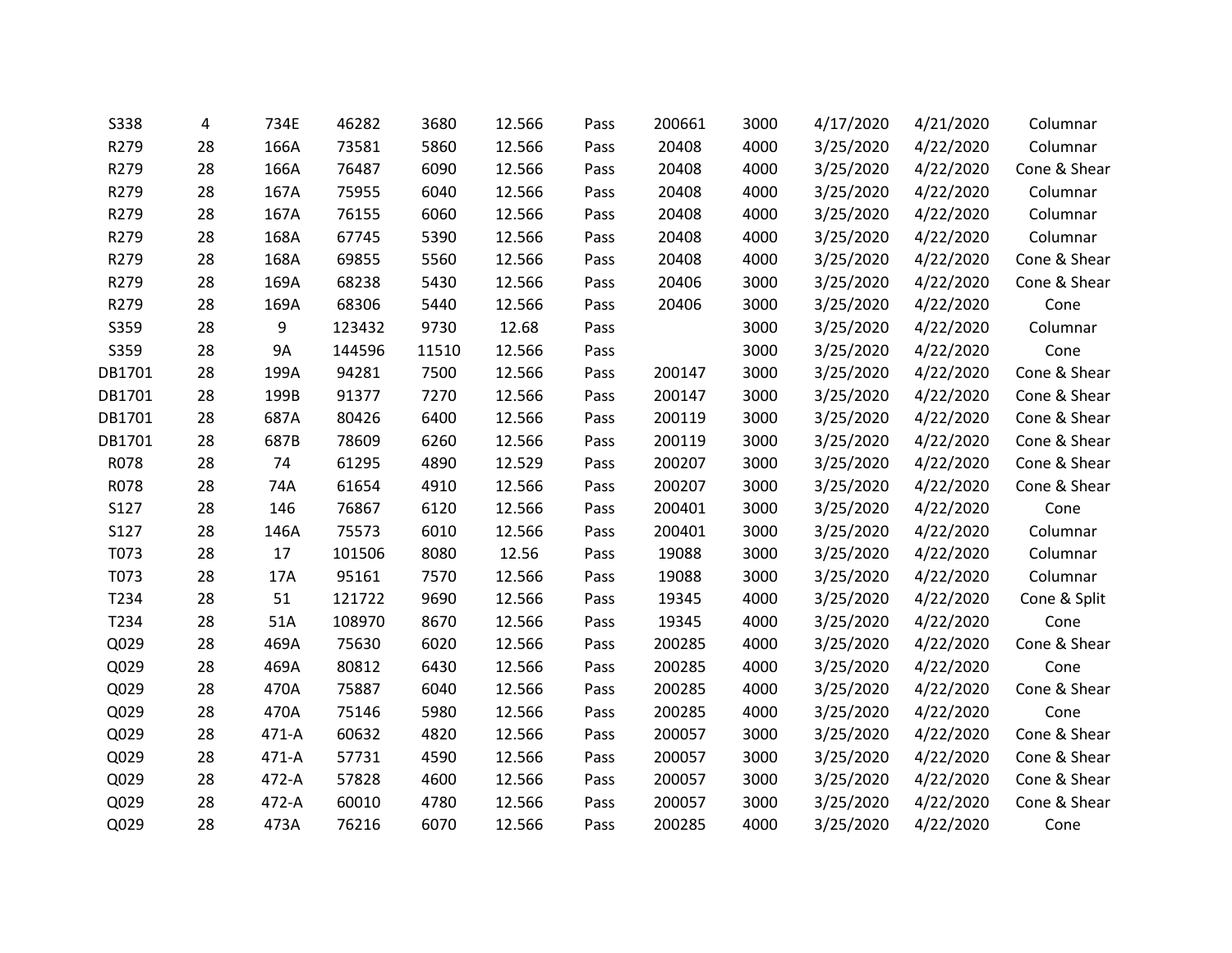| <b>S338</b> | 4  | 734E  | 46282  | 3680  | 12.566 | Pass | 200661 | 3000 | 4/17/2020 | 4/21/2020 | Columnar     |
|-------------|----|-------|--------|-------|--------|------|--------|------|-----------|-----------|--------------|
| R279        | 28 | 166A  | 73581  | 5860  | 12.566 | Pass | 20408  | 4000 | 3/25/2020 | 4/22/2020 | Columnar     |
| R279        | 28 | 166A  | 76487  | 6090  | 12.566 | Pass | 20408  | 4000 | 3/25/2020 | 4/22/2020 | Cone & Shear |
| R279        | 28 | 167A  | 75955  | 6040  | 12.566 | Pass | 20408  | 4000 | 3/25/2020 | 4/22/2020 | Columnar     |
| R279        | 28 | 167A  | 76155  | 6060  | 12.566 | Pass | 20408  | 4000 | 3/25/2020 | 4/22/2020 | Columnar     |
| R279        | 28 | 168A  | 67745  | 5390  | 12.566 | Pass | 20408  | 4000 | 3/25/2020 | 4/22/2020 | Columnar     |
| R279        | 28 | 168A  | 69855  | 5560  | 12.566 | Pass | 20408  | 4000 | 3/25/2020 | 4/22/2020 | Cone & Shear |
| R279        | 28 | 169A  | 68238  | 5430  | 12.566 | Pass | 20406  | 3000 | 3/25/2020 | 4/22/2020 | Cone & Shear |
| R279        | 28 | 169A  | 68306  | 5440  | 12.566 | Pass | 20406  | 3000 | 3/25/2020 | 4/22/2020 | Cone         |
| S359        | 28 | 9     | 123432 | 9730  | 12.68  | Pass |        | 3000 | 3/25/2020 | 4/22/2020 | Columnar     |
| S359        | 28 | 9A    | 144596 | 11510 | 12.566 | Pass |        | 3000 | 3/25/2020 | 4/22/2020 | Cone         |
| DB1701      | 28 | 199A  | 94281  | 7500  | 12.566 | Pass | 200147 | 3000 | 3/25/2020 | 4/22/2020 | Cone & Shear |
| DB1701      | 28 | 199B  | 91377  | 7270  | 12.566 | Pass | 200147 | 3000 | 3/25/2020 | 4/22/2020 | Cone & Shear |
| DB1701      | 28 | 687A  | 80426  | 6400  | 12.566 | Pass | 200119 | 3000 | 3/25/2020 | 4/22/2020 | Cone & Shear |
| DB1701      | 28 | 687B  | 78609  | 6260  | 12.566 | Pass | 200119 | 3000 | 3/25/2020 | 4/22/2020 | Cone & Shear |
| R078        | 28 | 74    | 61295  | 4890  | 12.529 | Pass | 200207 | 3000 | 3/25/2020 | 4/22/2020 | Cone & Shear |
| R078        | 28 | 74A   | 61654  | 4910  | 12.566 | Pass | 200207 | 3000 | 3/25/2020 | 4/22/2020 | Cone & Shear |
| S127        | 28 | 146   | 76867  | 6120  | 12.566 | Pass | 200401 | 3000 | 3/25/2020 | 4/22/2020 | Cone         |
| S127        | 28 | 146A  | 75573  | 6010  | 12.566 | Pass | 200401 | 3000 | 3/25/2020 | 4/22/2020 | Columnar     |
| T073        | 28 | 17    | 101506 | 8080  | 12.56  | Pass | 19088  | 3000 | 3/25/2020 | 4/22/2020 | Columnar     |
| T073        | 28 | 17A   | 95161  | 7570  | 12.566 | Pass | 19088  | 3000 | 3/25/2020 | 4/22/2020 | Columnar     |
| T234        | 28 | 51    | 121722 | 9690  | 12.566 | Pass | 19345  | 4000 | 3/25/2020 | 4/22/2020 | Cone & Split |
| T234        | 28 | 51A   | 108970 | 8670  | 12.566 | Pass | 19345  | 4000 | 3/25/2020 | 4/22/2020 | Cone         |
| Q029        | 28 | 469A  | 75630  | 6020  | 12.566 | Pass | 200285 | 4000 | 3/25/2020 | 4/22/2020 | Cone & Shear |
| Q029        | 28 | 469A  | 80812  | 6430  | 12.566 | Pass | 200285 | 4000 | 3/25/2020 | 4/22/2020 | Cone         |
| Q029        | 28 | 470A  | 75887  | 6040  | 12.566 | Pass | 200285 | 4000 | 3/25/2020 | 4/22/2020 | Cone & Shear |
| Q029        | 28 | 470A  | 75146  | 5980  | 12.566 | Pass | 200285 | 4000 | 3/25/2020 | 4/22/2020 | Cone         |
| Q029        | 28 | 471-A | 60632  | 4820  | 12.566 | Pass | 200057 | 3000 | 3/25/2020 | 4/22/2020 | Cone & Shear |
| Q029        | 28 | 471-A | 57731  | 4590  | 12.566 | Pass | 200057 | 3000 | 3/25/2020 | 4/22/2020 | Cone & Shear |
| Q029        | 28 | 472-A | 57828  | 4600  | 12.566 | Pass | 200057 | 3000 | 3/25/2020 | 4/22/2020 | Cone & Shear |
| Q029        | 28 | 472-A | 60010  | 4780  | 12.566 | Pass | 200057 | 3000 | 3/25/2020 | 4/22/2020 | Cone & Shear |
| Q029        | 28 | 473A  | 76216  | 6070  | 12.566 | Pass | 200285 | 4000 | 3/25/2020 | 4/22/2020 | Cone         |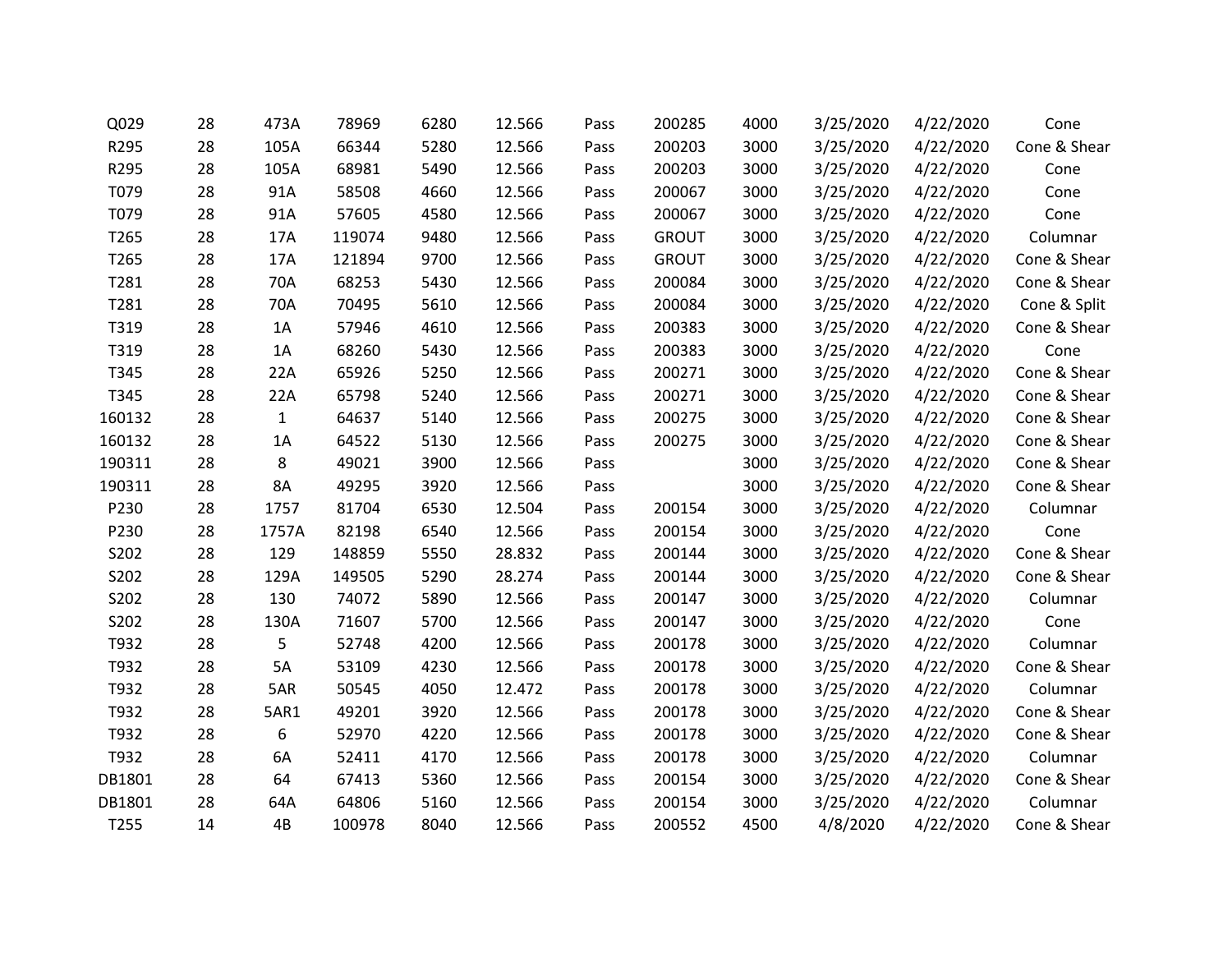| Q029   | 28 | 473A         | 78969  | 6280 | 12.566 | Pass | 200285       | 4000 | 3/25/2020 | 4/22/2020 | Cone         |
|--------|----|--------------|--------|------|--------|------|--------------|------|-----------|-----------|--------------|
| R295   | 28 | 105A         | 66344  | 5280 | 12.566 | Pass | 200203       | 3000 | 3/25/2020 | 4/22/2020 | Cone & Shear |
| R295   | 28 | 105A         | 68981  | 5490 | 12.566 | Pass | 200203       | 3000 | 3/25/2020 | 4/22/2020 | Cone         |
| T079   | 28 | 91A          | 58508  | 4660 | 12.566 | Pass | 200067       | 3000 | 3/25/2020 | 4/22/2020 | Cone         |
| T079   | 28 | 91A          | 57605  | 4580 | 12.566 | Pass | 200067       | 3000 | 3/25/2020 | 4/22/2020 | Cone         |
| T265   | 28 | 17A          | 119074 | 9480 | 12.566 | Pass | <b>GROUT</b> | 3000 | 3/25/2020 | 4/22/2020 | Columnar     |
| T265   | 28 | 17A          | 121894 | 9700 | 12.566 | Pass | <b>GROUT</b> | 3000 | 3/25/2020 | 4/22/2020 | Cone & Shear |
| T281   | 28 | 70A          | 68253  | 5430 | 12.566 | Pass | 200084       | 3000 | 3/25/2020 | 4/22/2020 | Cone & Shear |
| T281   | 28 | 70A          | 70495  | 5610 | 12.566 | Pass | 200084       | 3000 | 3/25/2020 | 4/22/2020 | Cone & Split |
| T319   | 28 | 1A           | 57946  | 4610 | 12.566 | Pass | 200383       | 3000 | 3/25/2020 | 4/22/2020 | Cone & Shear |
| T319   | 28 | 1A           | 68260  | 5430 | 12.566 | Pass | 200383       | 3000 | 3/25/2020 | 4/22/2020 | Cone         |
| T345   | 28 | 22A          | 65926  | 5250 | 12.566 | Pass | 200271       | 3000 | 3/25/2020 | 4/22/2020 | Cone & Shear |
| T345   | 28 | 22A          | 65798  | 5240 | 12.566 | Pass | 200271       | 3000 | 3/25/2020 | 4/22/2020 | Cone & Shear |
| 160132 | 28 | $\mathbf{1}$ | 64637  | 5140 | 12.566 | Pass | 200275       | 3000 | 3/25/2020 | 4/22/2020 | Cone & Shear |
| 160132 | 28 | 1A           | 64522  | 5130 | 12.566 | Pass | 200275       | 3000 | 3/25/2020 | 4/22/2020 | Cone & Shear |
| 190311 | 28 | 8            | 49021  | 3900 | 12.566 | Pass |              | 3000 | 3/25/2020 | 4/22/2020 | Cone & Shear |
| 190311 | 28 | <b>8A</b>    | 49295  | 3920 | 12.566 | Pass |              | 3000 | 3/25/2020 | 4/22/2020 | Cone & Shear |
| P230   | 28 | 1757         | 81704  | 6530 | 12.504 | Pass | 200154       | 3000 | 3/25/2020 | 4/22/2020 | Columnar     |
| P230   | 28 | 1757A        | 82198  | 6540 | 12.566 | Pass | 200154       | 3000 | 3/25/2020 | 4/22/2020 | Cone         |
| S202   | 28 | 129          | 148859 | 5550 | 28.832 | Pass | 200144       | 3000 | 3/25/2020 | 4/22/2020 | Cone & Shear |
| S202   | 28 | 129A         | 149505 | 5290 | 28.274 | Pass | 200144       | 3000 | 3/25/2020 | 4/22/2020 | Cone & Shear |
| S202   | 28 | 130          | 74072  | 5890 | 12.566 | Pass | 200147       | 3000 | 3/25/2020 | 4/22/2020 | Columnar     |
| S202   | 28 | 130A         | 71607  | 5700 | 12.566 | Pass | 200147       | 3000 | 3/25/2020 | 4/22/2020 | Cone         |
| T932   | 28 | 5            | 52748  | 4200 | 12.566 | Pass | 200178       | 3000 | 3/25/2020 | 4/22/2020 | Columnar     |
| T932   | 28 | 5A           | 53109  | 4230 | 12.566 | Pass | 200178       | 3000 | 3/25/2020 | 4/22/2020 | Cone & Shear |
| T932   | 28 | 5AR          | 50545  | 4050 | 12.472 | Pass | 200178       | 3000 | 3/25/2020 | 4/22/2020 | Columnar     |
| T932   | 28 | 5AR1         | 49201  | 3920 | 12.566 | Pass | 200178       | 3000 | 3/25/2020 | 4/22/2020 | Cone & Shear |
| T932   | 28 | 6            | 52970  | 4220 | 12.566 | Pass | 200178       | 3000 | 3/25/2020 | 4/22/2020 | Cone & Shear |
| T932   | 28 | 6A           | 52411  | 4170 | 12.566 | Pass | 200178       | 3000 | 3/25/2020 | 4/22/2020 | Columnar     |
| DB1801 | 28 | 64           | 67413  | 5360 | 12.566 | Pass | 200154       | 3000 | 3/25/2020 | 4/22/2020 | Cone & Shear |
| DB1801 | 28 | 64A          | 64806  | 5160 | 12.566 | Pass | 200154       | 3000 | 3/25/2020 | 4/22/2020 | Columnar     |
| T255   | 14 | 4B           | 100978 | 8040 | 12.566 | Pass | 200552       | 4500 | 4/8/2020  | 4/22/2020 | Cone & Shear |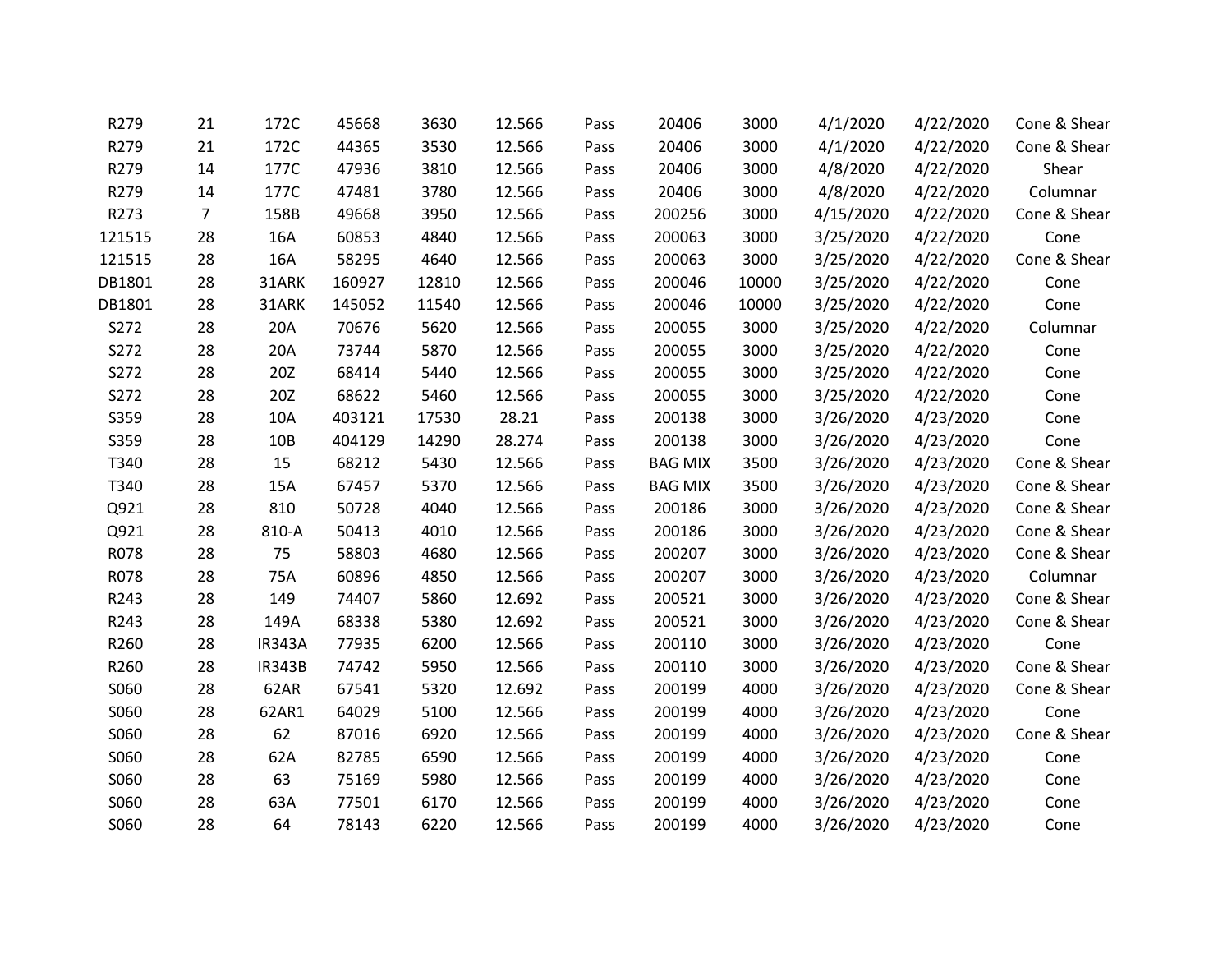| R279   | 21 | 172C          | 45668  | 3630  | 12.566 | Pass | 20406          | 3000  | 4/1/2020  | 4/22/2020 | Cone & Shear |
|--------|----|---------------|--------|-------|--------|------|----------------|-------|-----------|-----------|--------------|
| R279   | 21 | 172C          | 44365  | 3530  | 12.566 | Pass | 20406          | 3000  | 4/1/2020  | 4/22/2020 | Cone & Shear |
| R279   | 14 | 177C          | 47936  | 3810  | 12.566 | Pass | 20406          | 3000  | 4/8/2020  | 4/22/2020 | Shear        |
| R279   | 14 | 177C          | 47481  | 3780  | 12.566 | Pass | 20406          | 3000  | 4/8/2020  | 4/22/2020 | Columnar     |
| R273   | 7  | 158B          | 49668  | 3950  | 12.566 | Pass | 200256         | 3000  | 4/15/2020 | 4/22/2020 | Cone & Shear |
| 121515 | 28 | 16A           | 60853  | 4840  | 12.566 | Pass | 200063         | 3000  | 3/25/2020 | 4/22/2020 | Cone         |
| 121515 | 28 | 16A           | 58295  | 4640  | 12.566 | Pass | 200063         | 3000  | 3/25/2020 | 4/22/2020 | Cone & Shear |
| DB1801 | 28 | 31ARK         | 160927 | 12810 | 12.566 | Pass | 200046         | 10000 | 3/25/2020 | 4/22/2020 | Cone         |
| DB1801 | 28 | 31ARK         | 145052 | 11540 | 12.566 | Pass | 200046         | 10000 | 3/25/2020 | 4/22/2020 | Cone         |
| S272   | 28 | 20A           | 70676  | 5620  | 12.566 | Pass | 200055         | 3000  | 3/25/2020 | 4/22/2020 | Columnar     |
| S272   | 28 | 20A           | 73744  | 5870  | 12.566 | Pass | 200055         | 3000  | 3/25/2020 | 4/22/2020 | Cone         |
| S272   | 28 | 20Z           | 68414  | 5440  | 12.566 | Pass | 200055         | 3000  | 3/25/2020 | 4/22/2020 | Cone         |
| S272   | 28 | 20Z           | 68622  | 5460  | 12.566 | Pass | 200055         | 3000  | 3/25/2020 | 4/22/2020 | Cone         |
| S359   | 28 | 10A           | 403121 | 17530 | 28.21  | Pass | 200138         | 3000  | 3/26/2020 | 4/23/2020 | Cone         |
| S359   | 28 | 10B           | 404129 | 14290 | 28.274 | Pass | 200138         | 3000  | 3/26/2020 | 4/23/2020 | Cone         |
| T340   | 28 | 15            | 68212  | 5430  | 12.566 | Pass | <b>BAG MIX</b> | 3500  | 3/26/2020 | 4/23/2020 | Cone & Shear |
| T340   | 28 | 15A           | 67457  | 5370  | 12.566 | Pass | <b>BAG MIX</b> | 3500  | 3/26/2020 | 4/23/2020 | Cone & Shear |
| Q921   | 28 | 810           | 50728  | 4040  | 12.566 | Pass | 200186         | 3000  | 3/26/2020 | 4/23/2020 | Cone & Shear |
| Q921   | 28 | 810-A         | 50413  | 4010  | 12.566 | Pass | 200186         | 3000  | 3/26/2020 | 4/23/2020 | Cone & Shear |
| R078   | 28 | 75            | 58803  | 4680  | 12.566 | Pass | 200207         | 3000  | 3/26/2020 | 4/23/2020 | Cone & Shear |
| R078   | 28 | 75A           | 60896  | 4850  | 12.566 | Pass | 200207         | 3000  | 3/26/2020 | 4/23/2020 | Columnar     |
| R243   | 28 | 149           | 74407  | 5860  | 12.692 | Pass | 200521         | 3000  | 3/26/2020 | 4/23/2020 | Cone & Shear |
| R243   | 28 | 149A          | 68338  | 5380  | 12.692 | Pass | 200521         | 3000  | 3/26/2020 | 4/23/2020 | Cone & Shear |
| R260   | 28 | <b>IR343A</b> | 77935  | 6200  | 12.566 | Pass | 200110         | 3000  | 3/26/2020 | 4/23/2020 | Cone         |
| R260   | 28 | <b>IR343B</b> | 74742  | 5950  | 12.566 | Pass | 200110         | 3000  | 3/26/2020 | 4/23/2020 | Cone & Shear |
| S060   | 28 | 62AR          | 67541  | 5320  | 12.692 | Pass | 200199         | 4000  | 3/26/2020 | 4/23/2020 | Cone & Shear |
| S060   | 28 | 62AR1         | 64029  | 5100  | 12.566 | Pass | 200199         | 4000  | 3/26/2020 | 4/23/2020 | Cone         |
| S060   | 28 | 62            | 87016  | 6920  | 12.566 | Pass | 200199         | 4000  | 3/26/2020 | 4/23/2020 | Cone & Shear |
| S060   | 28 | 62A           | 82785  | 6590  | 12.566 | Pass | 200199         | 4000  | 3/26/2020 | 4/23/2020 | Cone         |
| S060   | 28 | 63            | 75169  | 5980  | 12.566 | Pass | 200199         | 4000  | 3/26/2020 | 4/23/2020 | Cone         |
| S060   | 28 | 63A           | 77501  | 6170  | 12.566 | Pass | 200199         | 4000  | 3/26/2020 | 4/23/2020 | Cone         |
| S060   | 28 | 64            | 78143  | 6220  | 12.566 | Pass | 200199         | 4000  | 3/26/2020 | 4/23/2020 | Cone         |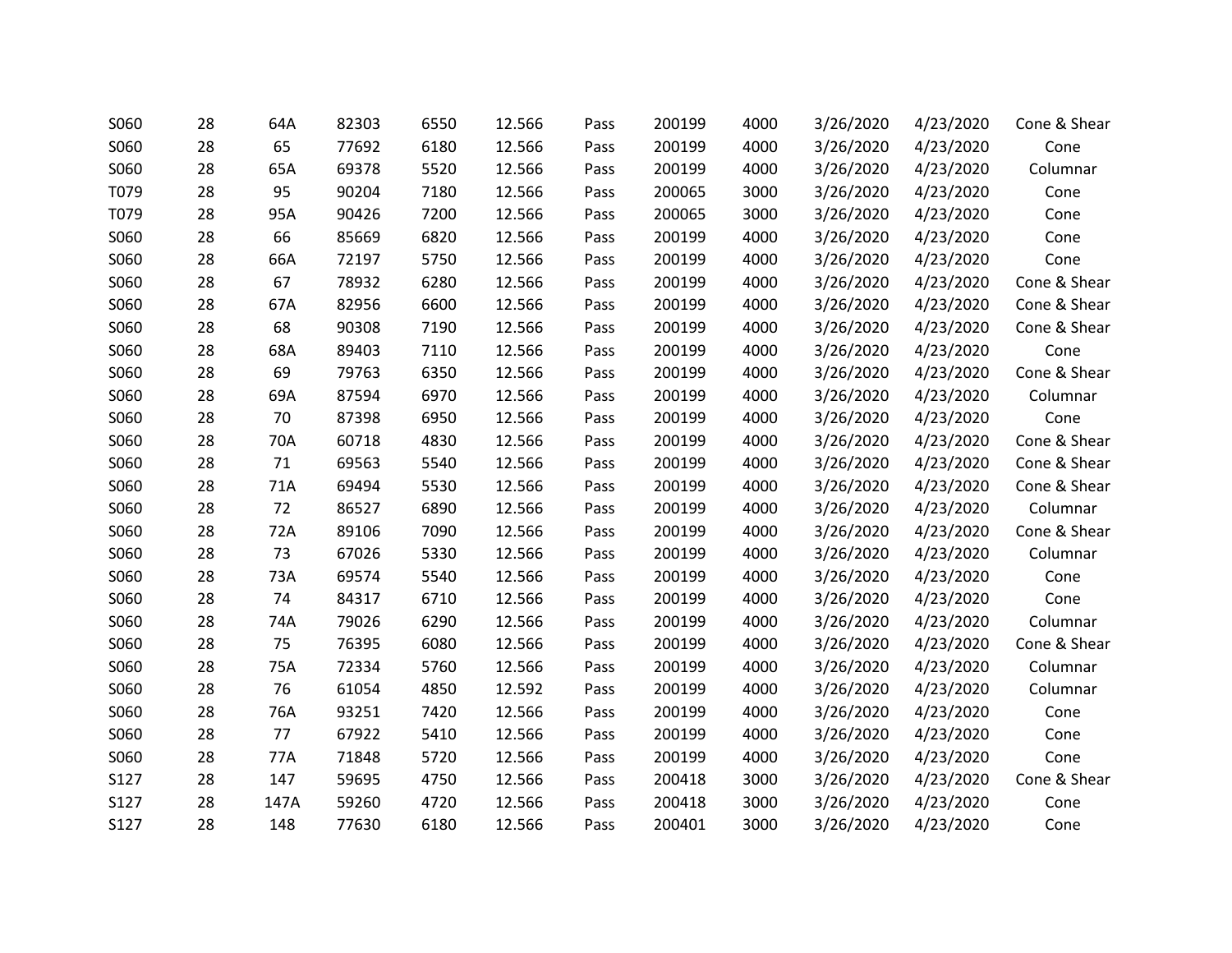| S060 | 28 | 64A  | 82303 | 6550 | 12.566 | Pass | 200199 | 4000 | 3/26/2020 | 4/23/2020 | Cone & Shear |
|------|----|------|-------|------|--------|------|--------|------|-----------|-----------|--------------|
| S060 | 28 | 65   | 77692 | 6180 | 12.566 | Pass | 200199 | 4000 | 3/26/2020 | 4/23/2020 | Cone         |
| S060 | 28 | 65A  | 69378 | 5520 | 12.566 | Pass | 200199 | 4000 | 3/26/2020 | 4/23/2020 | Columnar     |
| T079 | 28 | 95   | 90204 | 7180 | 12.566 | Pass | 200065 | 3000 | 3/26/2020 | 4/23/2020 | Cone         |
| T079 | 28 | 95A  | 90426 | 7200 | 12.566 | Pass | 200065 | 3000 | 3/26/2020 | 4/23/2020 | Cone         |
| S060 | 28 | 66   | 85669 | 6820 | 12.566 | Pass | 200199 | 4000 | 3/26/2020 | 4/23/2020 | Cone         |
| S060 | 28 | 66A  | 72197 | 5750 | 12.566 | Pass | 200199 | 4000 | 3/26/2020 | 4/23/2020 | Cone         |
| S060 | 28 | 67   | 78932 | 6280 | 12.566 | Pass | 200199 | 4000 | 3/26/2020 | 4/23/2020 | Cone & Shear |
| S060 | 28 | 67A  | 82956 | 6600 | 12.566 | Pass | 200199 | 4000 | 3/26/2020 | 4/23/2020 | Cone & Shear |
| S060 | 28 | 68   | 90308 | 7190 | 12.566 | Pass | 200199 | 4000 | 3/26/2020 | 4/23/2020 | Cone & Shear |
| S060 | 28 | 68A  | 89403 | 7110 | 12.566 | Pass | 200199 | 4000 | 3/26/2020 | 4/23/2020 | Cone         |
| S060 | 28 | 69   | 79763 | 6350 | 12.566 | Pass | 200199 | 4000 | 3/26/2020 | 4/23/2020 | Cone & Shear |
| S060 | 28 | 69A  | 87594 | 6970 | 12.566 | Pass | 200199 | 4000 | 3/26/2020 | 4/23/2020 | Columnar     |
| S060 | 28 | 70   | 87398 | 6950 | 12.566 | Pass | 200199 | 4000 | 3/26/2020 | 4/23/2020 | Cone         |
| S060 | 28 | 70A  | 60718 | 4830 | 12.566 | Pass | 200199 | 4000 | 3/26/2020 | 4/23/2020 | Cone & Shear |
| S060 | 28 | 71   | 69563 | 5540 | 12.566 | Pass | 200199 | 4000 | 3/26/2020 | 4/23/2020 | Cone & Shear |
| S060 | 28 | 71A  | 69494 | 5530 | 12.566 | Pass | 200199 | 4000 | 3/26/2020 | 4/23/2020 | Cone & Shear |
| S060 | 28 | 72   | 86527 | 6890 | 12.566 | Pass | 200199 | 4000 | 3/26/2020 | 4/23/2020 | Columnar     |
| S060 | 28 | 72A  | 89106 | 7090 | 12.566 | Pass | 200199 | 4000 | 3/26/2020 | 4/23/2020 | Cone & Shear |
| S060 | 28 | 73   | 67026 | 5330 | 12.566 | Pass | 200199 | 4000 | 3/26/2020 | 4/23/2020 | Columnar     |
| S060 | 28 | 73A  | 69574 | 5540 | 12.566 | Pass | 200199 | 4000 | 3/26/2020 | 4/23/2020 | Cone         |
| S060 | 28 | 74   | 84317 | 6710 | 12.566 | Pass | 200199 | 4000 | 3/26/2020 | 4/23/2020 | Cone         |
| S060 | 28 | 74A  | 79026 | 6290 | 12.566 | Pass | 200199 | 4000 | 3/26/2020 | 4/23/2020 | Columnar     |
| S060 | 28 | 75   | 76395 | 6080 | 12.566 | Pass | 200199 | 4000 | 3/26/2020 | 4/23/2020 | Cone & Shear |
| S060 | 28 | 75A  | 72334 | 5760 | 12.566 | Pass | 200199 | 4000 | 3/26/2020 | 4/23/2020 | Columnar     |
| S060 | 28 | 76   | 61054 | 4850 | 12.592 | Pass | 200199 | 4000 | 3/26/2020 | 4/23/2020 | Columnar     |
| S060 | 28 | 76A  | 93251 | 7420 | 12.566 | Pass | 200199 | 4000 | 3/26/2020 | 4/23/2020 | Cone         |
| S060 | 28 | 77   | 67922 | 5410 | 12.566 | Pass | 200199 | 4000 | 3/26/2020 | 4/23/2020 | Cone         |
| S060 | 28 | 77A  | 71848 | 5720 | 12.566 | Pass | 200199 | 4000 | 3/26/2020 | 4/23/2020 | Cone         |
| S127 | 28 | 147  | 59695 | 4750 | 12.566 | Pass | 200418 | 3000 | 3/26/2020 | 4/23/2020 | Cone & Shear |
| S127 | 28 | 147A | 59260 | 4720 | 12.566 | Pass | 200418 | 3000 | 3/26/2020 | 4/23/2020 | Cone         |
| S127 | 28 | 148  | 77630 | 6180 | 12.566 | Pass | 200401 | 3000 | 3/26/2020 | 4/23/2020 | Cone         |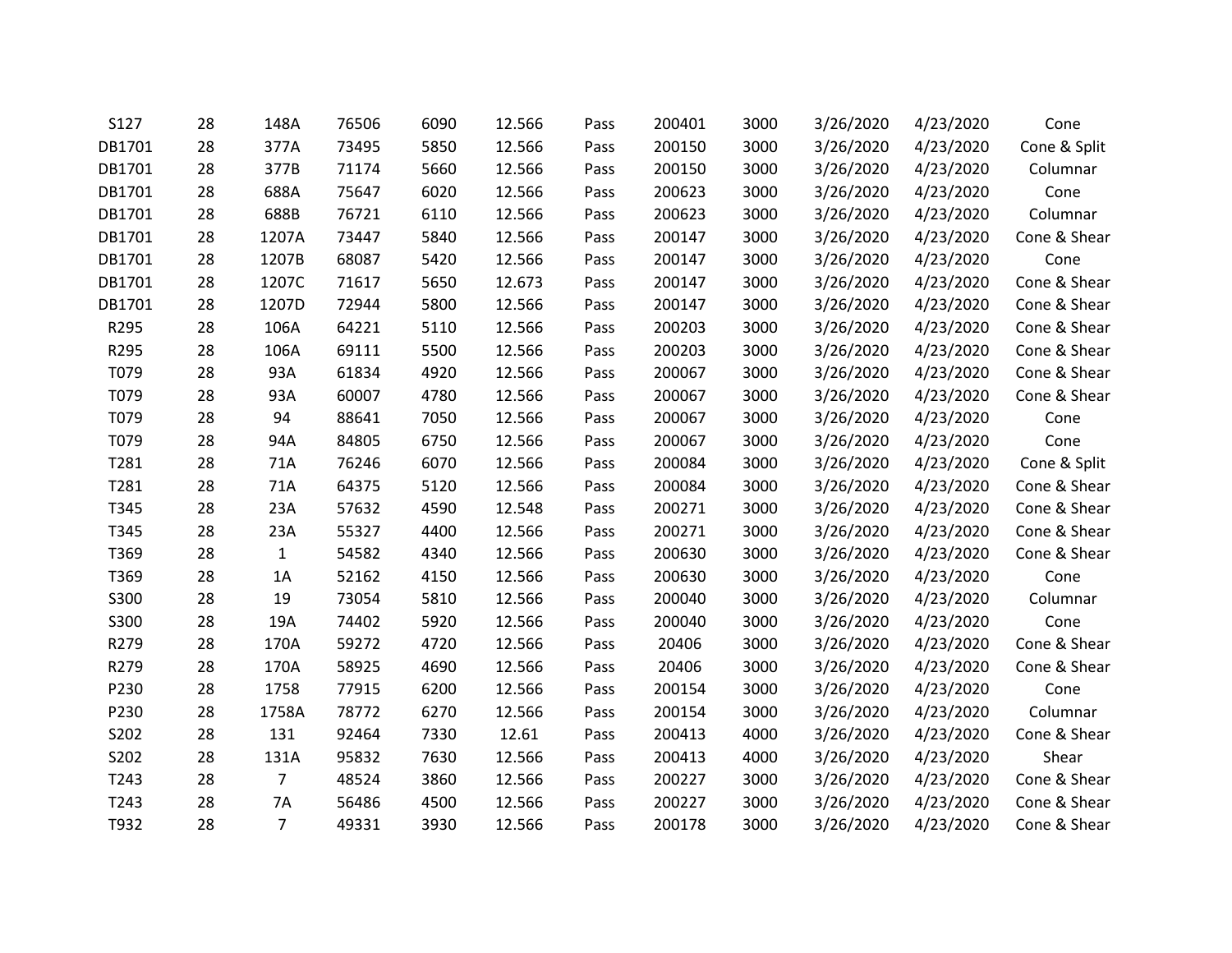| S127   | 28 | 148A           | 76506 | 6090 | 12.566 | Pass | 200401 | 3000 | 3/26/2020 | 4/23/2020 | Cone         |
|--------|----|----------------|-------|------|--------|------|--------|------|-----------|-----------|--------------|
| DB1701 | 28 | 377A           | 73495 | 5850 | 12.566 | Pass | 200150 | 3000 | 3/26/2020 | 4/23/2020 | Cone & Split |
| DB1701 | 28 | 377B           | 71174 | 5660 | 12.566 | Pass | 200150 | 3000 | 3/26/2020 | 4/23/2020 | Columnar     |
| DB1701 | 28 | 688A           | 75647 | 6020 | 12.566 | Pass | 200623 | 3000 | 3/26/2020 | 4/23/2020 | Cone         |
| DB1701 | 28 | 688B           | 76721 | 6110 | 12.566 | Pass | 200623 | 3000 | 3/26/2020 | 4/23/2020 | Columnar     |
| DB1701 | 28 | 1207A          | 73447 | 5840 | 12.566 | Pass | 200147 | 3000 | 3/26/2020 | 4/23/2020 | Cone & Shear |
| DB1701 | 28 | 1207B          | 68087 | 5420 | 12.566 | Pass | 200147 | 3000 | 3/26/2020 | 4/23/2020 | Cone         |
| DB1701 | 28 | 1207C          | 71617 | 5650 | 12.673 | Pass | 200147 | 3000 | 3/26/2020 | 4/23/2020 | Cone & Shear |
| DB1701 | 28 | 1207D          | 72944 | 5800 | 12.566 | Pass | 200147 | 3000 | 3/26/2020 | 4/23/2020 | Cone & Shear |
| R295   | 28 | 106A           | 64221 | 5110 | 12.566 | Pass | 200203 | 3000 | 3/26/2020 | 4/23/2020 | Cone & Shear |
| R295   | 28 | 106A           | 69111 | 5500 | 12.566 | Pass | 200203 | 3000 | 3/26/2020 | 4/23/2020 | Cone & Shear |
| T079   | 28 | 93A            | 61834 | 4920 | 12.566 | Pass | 200067 | 3000 | 3/26/2020 | 4/23/2020 | Cone & Shear |
| T079   | 28 | 93A            | 60007 | 4780 | 12.566 | Pass | 200067 | 3000 | 3/26/2020 | 4/23/2020 | Cone & Shear |
| T079   | 28 | 94             | 88641 | 7050 | 12.566 | Pass | 200067 | 3000 | 3/26/2020 | 4/23/2020 | Cone         |
| T079   | 28 | 94A            | 84805 | 6750 | 12.566 | Pass | 200067 | 3000 | 3/26/2020 | 4/23/2020 | Cone         |
| T281   | 28 | 71A            | 76246 | 6070 | 12.566 | Pass | 200084 | 3000 | 3/26/2020 | 4/23/2020 | Cone & Split |
| T281   | 28 | 71A            | 64375 | 5120 | 12.566 | Pass | 200084 | 3000 | 3/26/2020 | 4/23/2020 | Cone & Shear |
| T345   | 28 | 23A            | 57632 | 4590 | 12.548 | Pass | 200271 | 3000 | 3/26/2020 | 4/23/2020 | Cone & Shear |
| T345   | 28 | 23A            | 55327 | 4400 | 12.566 | Pass | 200271 | 3000 | 3/26/2020 | 4/23/2020 | Cone & Shear |
| T369   | 28 | $\mathbf{1}$   | 54582 | 4340 | 12.566 | Pass | 200630 | 3000 | 3/26/2020 | 4/23/2020 | Cone & Shear |
| T369   | 28 | 1A             | 52162 | 4150 | 12.566 | Pass | 200630 | 3000 | 3/26/2020 | 4/23/2020 | Cone         |
| S300   | 28 | 19             | 73054 | 5810 | 12.566 | Pass | 200040 | 3000 | 3/26/2020 | 4/23/2020 | Columnar     |
| S300   | 28 | 19A            | 74402 | 5920 | 12.566 | Pass | 200040 | 3000 | 3/26/2020 | 4/23/2020 | Cone         |
| R279   | 28 | 170A           | 59272 | 4720 | 12.566 | Pass | 20406  | 3000 | 3/26/2020 | 4/23/2020 | Cone & Shear |
| R279   | 28 | 170A           | 58925 | 4690 | 12.566 | Pass | 20406  | 3000 | 3/26/2020 | 4/23/2020 | Cone & Shear |
| P230   | 28 | 1758           | 77915 | 6200 | 12.566 | Pass | 200154 | 3000 | 3/26/2020 | 4/23/2020 | Cone         |
| P230   | 28 | 1758A          | 78772 | 6270 | 12.566 | Pass | 200154 | 3000 | 3/26/2020 | 4/23/2020 | Columnar     |
| S202   | 28 | 131            | 92464 | 7330 | 12.61  | Pass | 200413 | 4000 | 3/26/2020 | 4/23/2020 | Cone & Shear |
| S202   | 28 | 131A           | 95832 | 7630 | 12.566 | Pass | 200413 | 4000 | 3/26/2020 | 4/23/2020 | Shear        |
| T243   | 28 | $\overline{7}$ | 48524 | 3860 | 12.566 | Pass | 200227 | 3000 | 3/26/2020 | 4/23/2020 | Cone & Shear |
| T243   | 28 | 7A             | 56486 | 4500 | 12.566 | Pass | 200227 | 3000 | 3/26/2020 | 4/23/2020 | Cone & Shear |
| T932   | 28 | $\overline{7}$ | 49331 | 3930 | 12.566 | Pass | 200178 | 3000 | 3/26/2020 | 4/23/2020 | Cone & Shear |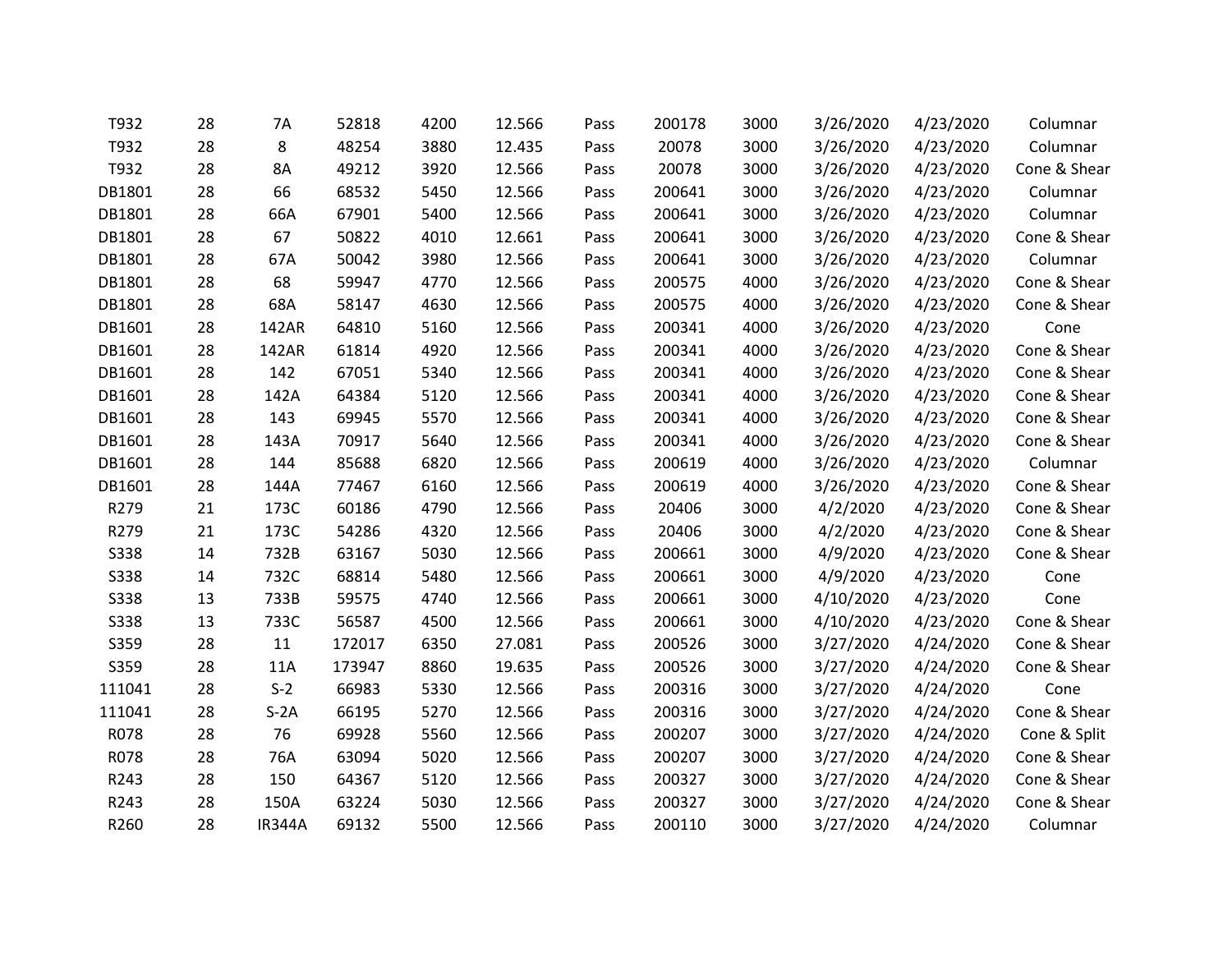| T932        | 28 | 7A            | 52818  | 4200 | 12.566 | Pass | 200178 | 3000 | 3/26/2020 | 4/23/2020 | Columnar     |
|-------------|----|---------------|--------|------|--------|------|--------|------|-----------|-----------|--------------|
| T932        | 28 | 8             | 48254  | 3880 | 12.435 | Pass | 20078  | 3000 | 3/26/2020 | 4/23/2020 | Columnar     |
| T932        | 28 | 8A            | 49212  | 3920 | 12.566 | Pass | 20078  | 3000 | 3/26/2020 | 4/23/2020 | Cone & Shear |
| DB1801      | 28 | 66            | 68532  | 5450 | 12.566 | Pass | 200641 | 3000 | 3/26/2020 | 4/23/2020 | Columnar     |
| DB1801      | 28 | 66A           | 67901  | 5400 | 12.566 | Pass | 200641 | 3000 | 3/26/2020 | 4/23/2020 | Columnar     |
| DB1801      | 28 | 67            | 50822  | 4010 | 12.661 | Pass | 200641 | 3000 | 3/26/2020 | 4/23/2020 | Cone & Shear |
| DB1801      | 28 | 67A           | 50042  | 3980 | 12.566 | Pass | 200641 | 3000 | 3/26/2020 | 4/23/2020 | Columnar     |
| DB1801      | 28 | 68            | 59947  | 4770 | 12.566 | Pass | 200575 | 4000 | 3/26/2020 | 4/23/2020 | Cone & Shear |
| DB1801      | 28 | 68A           | 58147  | 4630 | 12.566 | Pass | 200575 | 4000 | 3/26/2020 | 4/23/2020 | Cone & Shear |
| DB1601      | 28 | 142AR         | 64810  | 5160 | 12.566 | Pass | 200341 | 4000 | 3/26/2020 | 4/23/2020 | Cone         |
| DB1601      | 28 | 142AR         | 61814  | 4920 | 12.566 | Pass | 200341 | 4000 | 3/26/2020 | 4/23/2020 | Cone & Shear |
| DB1601      | 28 | 142           | 67051  | 5340 | 12.566 | Pass | 200341 | 4000 | 3/26/2020 | 4/23/2020 | Cone & Shear |
| DB1601      | 28 | 142A          | 64384  | 5120 | 12.566 | Pass | 200341 | 4000 | 3/26/2020 | 4/23/2020 | Cone & Shear |
| DB1601      | 28 | 143           | 69945  | 5570 | 12.566 | Pass | 200341 | 4000 | 3/26/2020 | 4/23/2020 | Cone & Shear |
| DB1601      | 28 | 143A          | 70917  | 5640 | 12.566 | Pass | 200341 | 4000 | 3/26/2020 | 4/23/2020 | Cone & Shear |
| DB1601      | 28 | 144           | 85688  | 6820 | 12.566 | Pass | 200619 | 4000 | 3/26/2020 | 4/23/2020 | Columnar     |
| DB1601      | 28 | 144A          | 77467  | 6160 | 12.566 | Pass | 200619 | 4000 | 3/26/2020 | 4/23/2020 | Cone & Shear |
| R279        | 21 | 173C          | 60186  | 4790 | 12.566 | Pass | 20406  | 3000 | 4/2/2020  | 4/23/2020 | Cone & Shear |
| R279        | 21 | 173C          | 54286  | 4320 | 12.566 | Pass | 20406  | 3000 | 4/2/2020  | 4/23/2020 | Cone & Shear |
| <b>S338</b> | 14 | 732B          | 63167  | 5030 | 12.566 | Pass | 200661 | 3000 | 4/9/2020  | 4/23/2020 | Cone & Shear |
| <b>S338</b> | 14 | 732C          | 68814  | 5480 | 12.566 | Pass | 200661 | 3000 | 4/9/2020  | 4/23/2020 | Cone         |
| S338        | 13 | 733B          | 59575  | 4740 | 12.566 | Pass | 200661 | 3000 | 4/10/2020 | 4/23/2020 | Cone         |
| <b>S338</b> | 13 | 733C          | 56587  | 4500 | 12.566 | Pass | 200661 | 3000 | 4/10/2020 | 4/23/2020 | Cone & Shear |
| S359        | 28 | 11            | 172017 | 6350 | 27.081 | Pass | 200526 | 3000 | 3/27/2020 | 4/24/2020 | Cone & Shear |
| S359        | 28 | 11A           | 173947 | 8860 | 19.635 | Pass | 200526 | 3000 | 3/27/2020 | 4/24/2020 | Cone & Shear |
| 111041      | 28 | $S-2$         | 66983  | 5330 | 12.566 | Pass | 200316 | 3000 | 3/27/2020 | 4/24/2020 | Cone         |
| 111041      | 28 | $S-2A$        | 66195  | 5270 | 12.566 | Pass | 200316 | 3000 | 3/27/2020 | 4/24/2020 | Cone & Shear |
| R078        | 28 | 76            | 69928  | 5560 | 12.566 | Pass | 200207 | 3000 | 3/27/2020 | 4/24/2020 | Cone & Split |
| R078        | 28 | 76A           | 63094  | 5020 | 12.566 | Pass | 200207 | 3000 | 3/27/2020 | 4/24/2020 | Cone & Shear |
| R243        | 28 | 150           | 64367  | 5120 | 12.566 | Pass | 200327 | 3000 | 3/27/2020 | 4/24/2020 | Cone & Shear |
| R243        | 28 | 150A          | 63224  | 5030 | 12.566 | Pass | 200327 | 3000 | 3/27/2020 | 4/24/2020 | Cone & Shear |
| R260        | 28 | <b>IR344A</b> | 69132  | 5500 | 12.566 | Pass | 200110 | 3000 | 3/27/2020 | 4/24/2020 | Columnar     |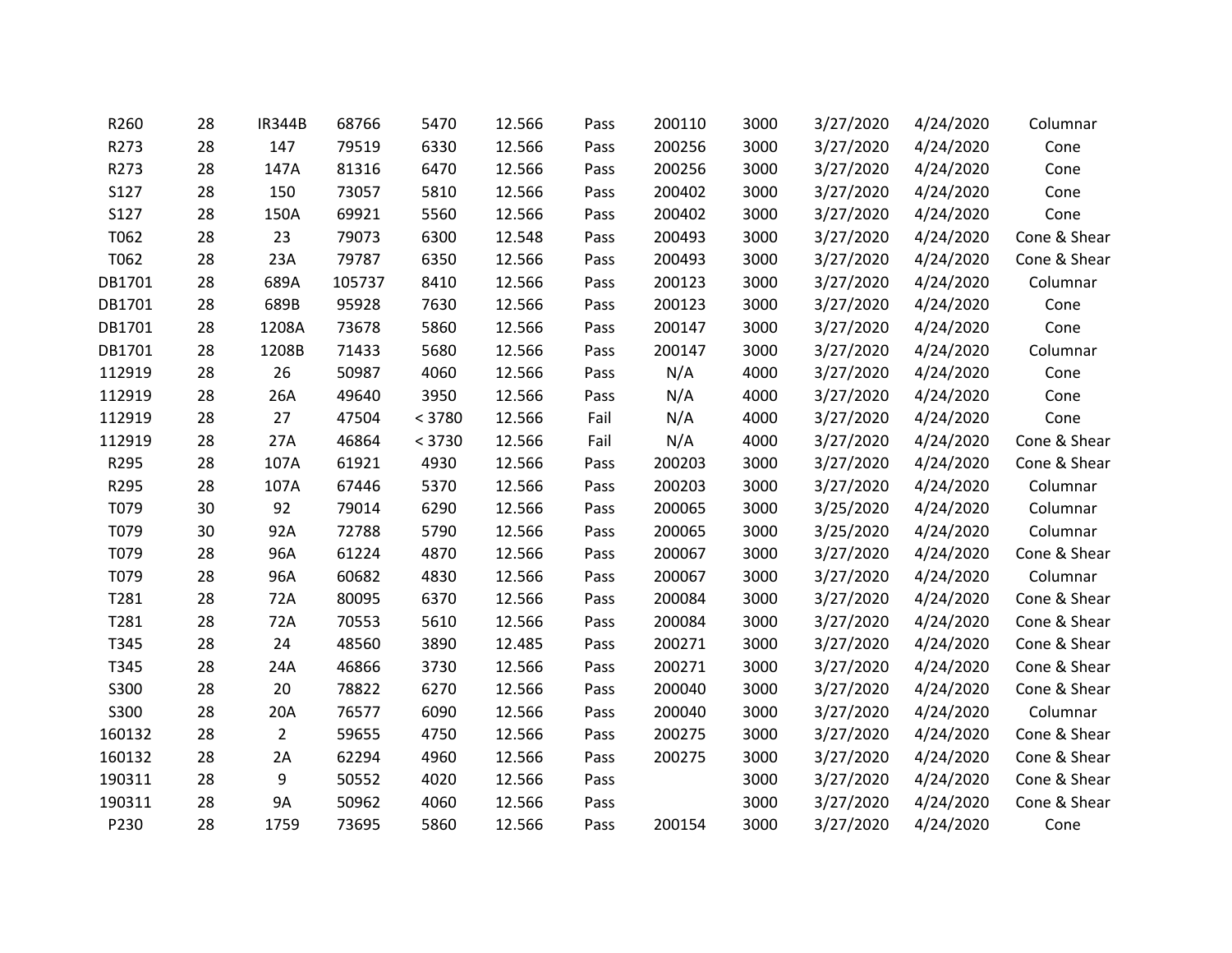| R260   | 28 | <b>IR344B</b>  | 68766  | 5470   | 12.566 | Pass | 200110 | 3000 | 3/27/2020 | 4/24/2020 | Columnar     |
|--------|----|----------------|--------|--------|--------|------|--------|------|-----------|-----------|--------------|
| R273   | 28 | 147            | 79519  | 6330   | 12.566 | Pass | 200256 | 3000 | 3/27/2020 | 4/24/2020 | Cone         |
| R273   | 28 | 147A           | 81316  | 6470   | 12.566 | Pass | 200256 | 3000 | 3/27/2020 | 4/24/2020 | Cone         |
| S127   | 28 | 150            | 73057  | 5810   | 12.566 | Pass | 200402 | 3000 | 3/27/2020 | 4/24/2020 | Cone         |
| S127   | 28 | 150A           | 69921  | 5560   | 12.566 | Pass | 200402 | 3000 | 3/27/2020 | 4/24/2020 | Cone         |
| T062   | 28 | 23             | 79073  | 6300   | 12.548 | Pass | 200493 | 3000 | 3/27/2020 | 4/24/2020 | Cone & Shear |
| T062   | 28 | 23A            | 79787  | 6350   | 12.566 | Pass | 200493 | 3000 | 3/27/2020 | 4/24/2020 | Cone & Shear |
| DB1701 | 28 | 689A           | 105737 | 8410   | 12.566 | Pass | 200123 | 3000 | 3/27/2020 | 4/24/2020 | Columnar     |
| DB1701 | 28 | 689B           | 95928  | 7630   | 12.566 | Pass | 200123 | 3000 | 3/27/2020 | 4/24/2020 | Cone         |
| DB1701 | 28 | 1208A          | 73678  | 5860   | 12.566 | Pass | 200147 | 3000 | 3/27/2020 | 4/24/2020 | Cone         |
| DB1701 | 28 | 1208B          | 71433  | 5680   | 12.566 | Pass | 200147 | 3000 | 3/27/2020 | 4/24/2020 | Columnar     |
| 112919 | 28 | 26             | 50987  | 4060   | 12.566 | Pass | N/A    | 4000 | 3/27/2020 | 4/24/2020 | Cone         |
| 112919 | 28 | 26A            | 49640  | 3950   | 12.566 | Pass | N/A    | 4000 | 3/27/2020 | 4/24/2020 | Cone         |
| 112919 | 28 | 27             | 47504  | < 3780 | 12.566 | Fail | N/A    | 4000 | 3/27/2020 | 4/24/2020 | Cone         |
| 112919 | 28 | 27A            | 46864  | < 3730 | 12.566 | Fail | N/A    | 4000 | 3/27/2020 | 4/24/2020 | Cone & Shear |
| R295   | 28 | 107A           | 61921  | 4930   | 12.566 | Pass | 200203 | 3000 | 3/27/2020 | 4/24/2020 | Cone & Shear |
| R295   | 28 | 107A           | 67446  | 5370   | 12.566 | Pass | 200203 | 3000 | 3/27/2020 | 4/24/2020 | Columnar     |
| T079   | 30 | 92             | 79014  | 6290   | 12.566 | Pass | 200065 | 3000 | 3/25/2020 | 4/24/2020 | Columnar     |
| T079   | 30 | 92A            | 72788  | 5790   | 12.566 | Pass | 200065 | 3000 | 3/25/2020 | 4/24/2020 | Columnar     |
| T079   | 28 | 96A            | 61224  | 4870   | 12.566 | Pass | 200067 | 3000 | 3/27/2020 | 4/24/2020 | Cone & Shear |
| T079   | 28 | 96A            | 60682  | 4830   | 12.566 | Pass | 200067 | 3000 | 3/27/2020 | 4/24/2020 | Columnar     |
| T281   | 28 | 72A            | 80095  | 6370   | 12.566 | Pass | 200084 | 3000 | 3/27/2020 | 4/24/2020 | Cone & Shear |
| T281   | 28 | 72A            | 70553  | 5610   | 12.566 | Pass | 200084 | 3000 | 3/27/2020 | 4/24/2020 | Cone & Shear |
| T345   | 28 | 24             | 48560  | 3890   | 12.485 | Pass | 200271 | 3000 | 3/27/2020 | 4/24/2020 | Cone & Shear |
| T345   | 28 | 24A            | 46866  | 3730   | 12.566 | Pass | 200271 | 3000 | 3/27/2020 | 4/24/2020 | Cone & Shear |
| S300   | 28 | 20             | 78822  | 6270   | 12.566 | Pass | 200040 | 3000 | 3/27/2020 | 4/24/2020 | Cone & Shear |
| S300   | 28 | 20A            | 76577  | 6090   | 12.566 | Pass | 200040 | 3000 | 3/27/2020 | 4/24/2020 | Columnar     |
| 160132 | 28 | $\overline{2}$ | 59655  | 4750   | 12.566 | Pass | 200275 | 3000 | 3/27/2020 | 4/24/2020 | Cone & Shear |
| 160132 | 28 | 2A             | 62294  | 4960   | 12.566 | Pass | 200275 | 3000 | 3/27/2020 | 4/24/2020 | Cone & Shear |
| 190311 | 28 | 9              | 50552  | 4020   | 12.566 | Pass |        | 3000 | 3/27/2020 | 4/24/2020 | Cone & Shear |
| 190311 | 28 | <b>9A</b>      | 50962  | 4060   | 12.566 | Pass |        | 3000 | 3/27/2020 | 4/24/2020 | Cone & Shear |
| P230   | 28 | 1759           | 73695  | 5860   | 12.566 | Pass | 200154 | 3000 | 3/27/2020 | 4/24/2020 | Cone         |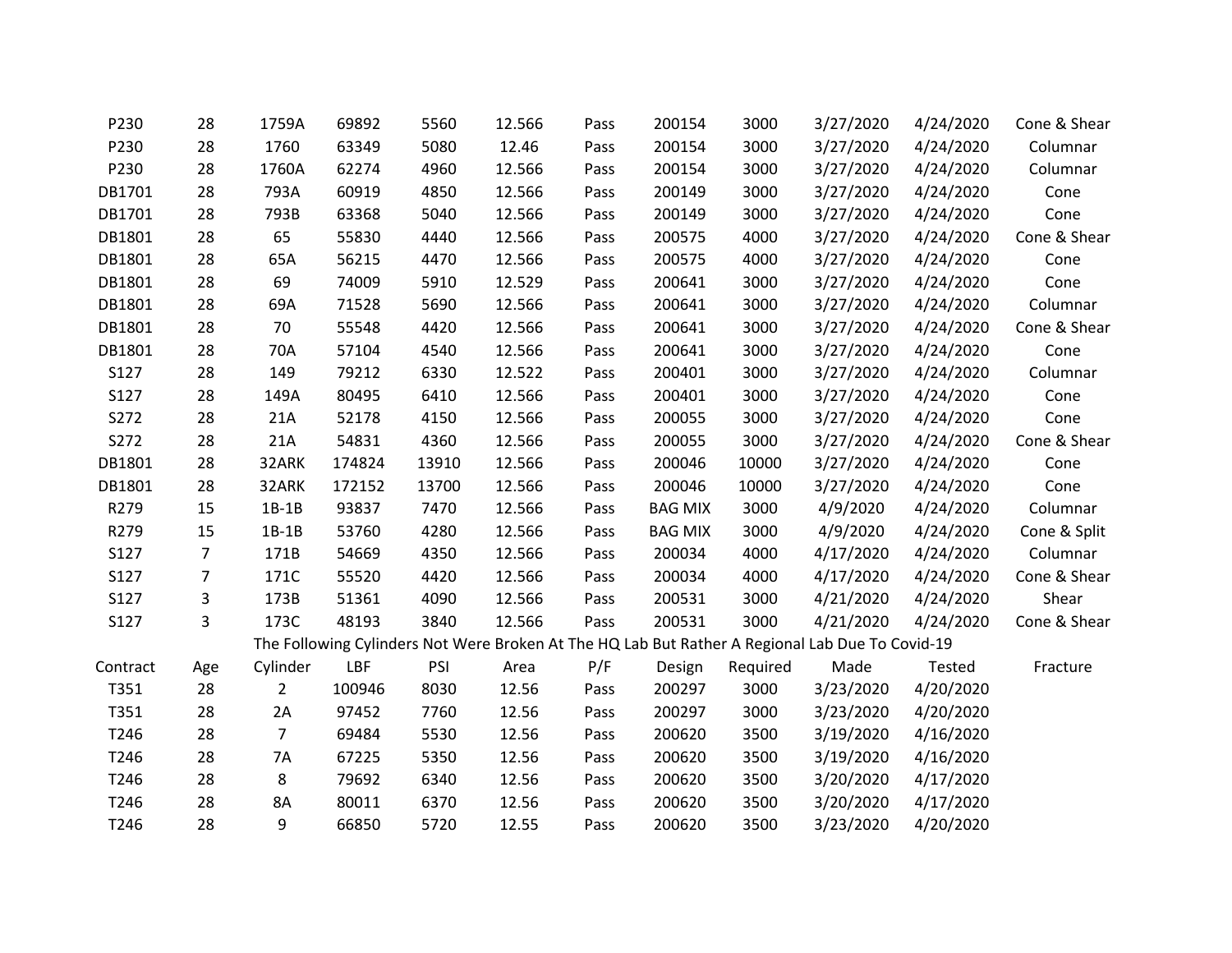| P230        | 28             | 1759A          | 69892  | 5560  | 12.566 | Pass | 200154         | 3000     | 3/27/2020                                                                                       | 4/24/2020 | Cone & Shear |
|-------------|----------------|----------------|--------|-------|--------|------|----------------|----------|-------------------------------------------------------------------------------------------------|-----------|--------------|
| P230        | 28             | 1760           | 63349  | 5080  | 12.46  | Pass | 200154         | 3000     | 3/27/2020                                                                                       | 4/24/2020 | Columnar     |
| P230        | 28             | 1760A          | 62274  | 4960  | 12.566 | Pass | 200154         | 3000     | 3/27/2020                                                                                       | 4/24/2020 | Columnar     |
| DB1701      | 28             | 793A           | 60919  | 4850  | 12.566 | Pass | 200149         | 3000     | 3/27/2020                                                                                       | 4/24/2020 | Cone         |
| DB1701      | 28             | 793B           | 63368  | 5040  | 12.566 | Pass | 200149         | 3000     | 3/27/2020                                                                                       | 4/24/2020 | Cone         |
| DB1801      | 28             | 65             | 55830  | 4440  | 12.566 | Pass | 200575         | 4000     | 3/27/2020                                                                                       | 4/24/2020 | Cone & Shear |
| DB1801      | 28             | 65A            | 56215  | 4470  | 12.566 | Pass | 200575         | 4000     | 3/27/2020                                                                                       | 4/24/2020 | Cone         |
| DB1801      | 28             | 69             | 74009  | 5910  | 12.529 | Pass | 200641         | 3000     | 3/27/2020                                                                                       | 4/24/2020 | Cone         |
| DB1801      | 28             | 69A            | 71528  | 5690  | 12.566 | Pass | 200641         | 3000     | 3/27/2020                                                                                       | 4/24/2020 | Columnar     |
| DB1801      | 28             | 70             | 55548  | 4420  | 12.566 | Pass | 200641         | 3000     | 3/27/2020                                                                                       | 4/24/2020 | Cone & Shear |
| DB1801      | 28             | 70A            | 57104  | 4540  | 12.566 | Pass | 200641         | 3000     | 3/27/2020                                                                                       | 4/24/2020 | Cone         |
| S127        | 28             | 149            | 79212  | 6330  | 12.522 | Pass | 200401         | 3000     | 3/27/2020                                                                                       | 4/24/2020 | Columnar     |
| S127        | 28             | 149A           | 80495  | 6410  | 12.566 | Pass | 200401         | 3000     | 3/27/2020                                                                                       | 4/24/2020 | Cone         |
| S272        | 28             | 21A            | 52178  | 4150  | 12.566 | Pass | 200055         | 3000     | 3/27/2020                                                                                       | 4/24/2020 | Cone         |
| S272        | 28             | 21A            | 54831  | 4360  | 12.566 | Pass | 200055         | 3000     | 3/27/2020                                                                                       | 4/24/2020 | Cone & Shear |
| DB1801      | 28             | 32ARK          | 174824 | 13910 | 12.566 | Pass | 200046         | 10000    | 3/27/2020                                                                                       | 4/24/2020 | Cone         |
| DB1801      | 28             | 32ARK          | 172152 | 13700 | 12.566 | Pass | 200046         | 10000    | 3/27/2020                                                                                       | 4/24/2020 | Cone         |
| R279        | 15             | $1B-1B$        | 93837  | 7470  | 12.566 | Pass | <b>BAG MIX</b> | 3000     | 4/9/2020                                                                                        | 4/24/2020 | Columnar     |
| R279        | 15             | $1B-1B$        | 53760  | 4280  | 12.566 | Pass | <b>BAG MIX</b> | 3000     | 4/9/2020                                                                                        | 4/24/2020 | Cone & Split |
| S127        | $\overline{7}$ | 171B           | 54669  | 4350  | 12.566 | Pass | 200034         | 4000     | 4/17/2020                                                                                       | 4/24/2020 | Columnar     |
| S127        | $\overline{7}$ | 171C           | 55520  | 4420  | 12.566 | Pass | 200034         | 4000     | 4/17/2020                                                                                       | 4/24/2020 | Cone & Shear |
| S127        | 3              | 173B           | 51361  | 4090  | 12.566 | Pass | 200531         | 3000     | 4/21/2020                                                                                       | 4/24/2020 | Shear        |
| <b>S127</b> | 3              | 173C           | 48193  | 3840  | 12.566 | Pass | 200531         | 3000     | 4/21/2020                                                                                       | 4/24/2020 | Cone & Shear |
|             |                |                |        |       |        |      |                |          | The Following Cylinders Not Were Broken At The HQ Lab But Rather A Regional Lab Due To Covid-19 |           |              |
| Contract    | Age            | Cylinder       | LBF    | PSI   | Area   | P/F  | Design         | Required | Made                                                                                            | Tested    | Fracture     |
| T351        | 28             | $\overline{2}$ | 100946 | 8030  | 12.56  | Pass | 200297         | 3000     | 3/23/2020                                                                                       | 4/20/2020 |              |
| T351        | 28             | 2A             | 97452  | 7760  | 12.56  | Pass | 200297         | 3000     | 3/23/2020                                                                                       | 4/20/2020 |              |
| T246        | 28             | $\overline{7}$ | 69484  | 5530  | 12.56  | Pass | 200620         | 3500     | 3/19/2020                                                                                       | 4/16/2020 |              |
| T246        | 28             | 7A             | 67225  | 5350  | 12.56  | Pass | 200620         | 3500     | 3/19/2020                                                                                       | 4/16/2020 |              |
| T246        | 28             | 8              | 79692  | 6340  | 12.56  | Pass | 200620         | 3500     | 3/20/2020                                                                                       | 4/17/2020 |              |
| T246        | 28             | 8A             | 80011  | 6370  | 12.56  | Pass | 200620         | 3500     | 3/20/2020                                                                                       | 4/17/2020 |              |
| T246        | 28             | 9              | 66850  | 5720  | 12.55  | Pass | 200620         | 3500     | 3/23/2020                                                                                       | 4/20/2020 |              |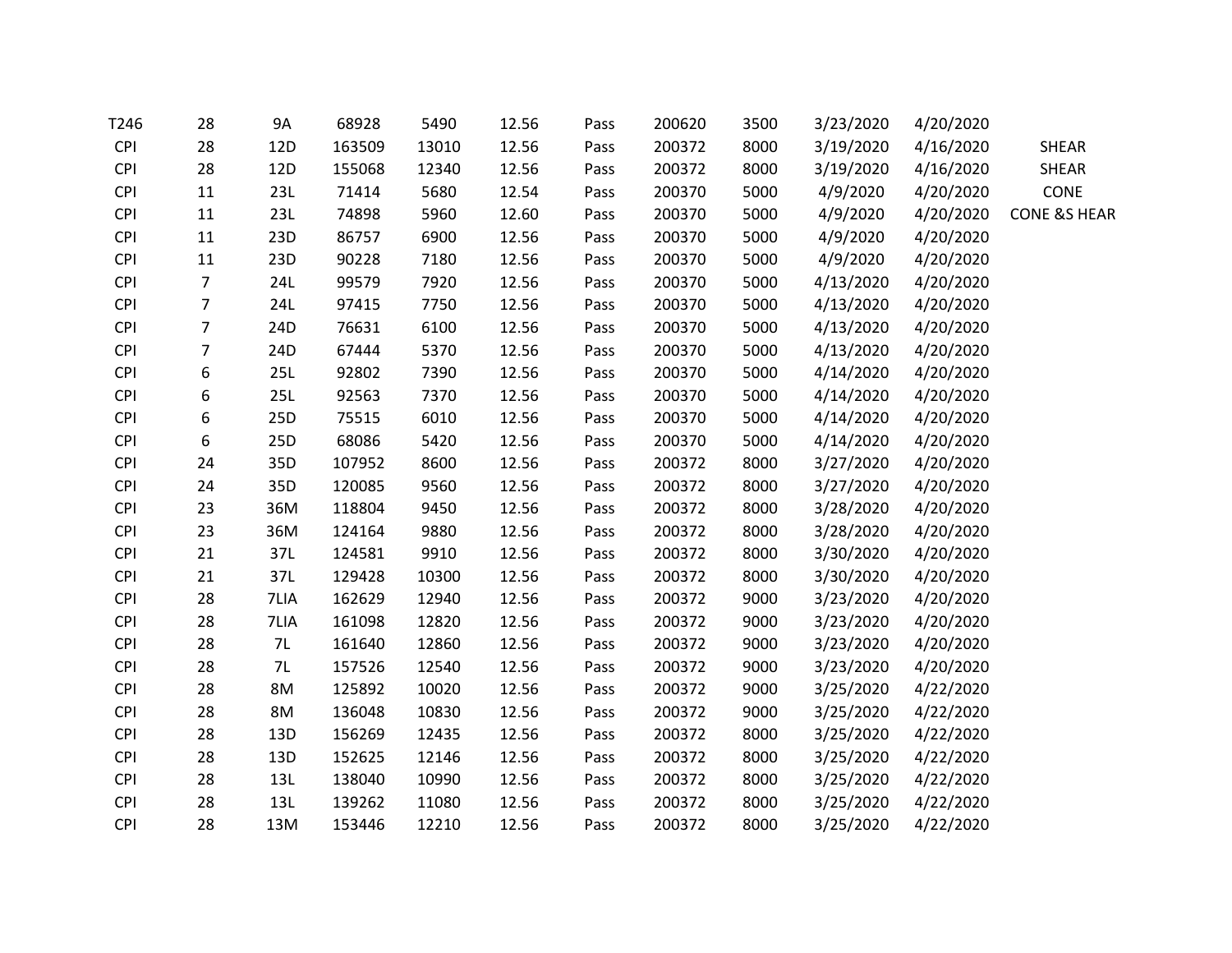| T246       | 28               | <b>9A</b>       | 68928  | 5490  | 12.56 | Pass | 200620 | 3500 | 3/23/2020 | 4/20/2020 |                         |
|------------|------------------|-----------------|--------|-------|-------|------|--------|------|-----------|-----------|-------------------------|
| <b>CPI</b> | 28               | 12 <sub>D</sub> | 163509 | 13010 | 12.56 | Pass | 200372 | 8000 | 3/19/2020 | 4/16/2020 | <b>SHEAR</b>            |
| <b>CPI</b> | 28               | 12D             | 155068 | 12340 | 12.56 | Pass | 200372 | 8000 | 3/19/2020 | 4/16/2020 | <b>SHEAR</b>            |
| <b>CPI</b> | 11               | 23L             | 71414  | 5680  | 12.54 | Pass | 200370 | 5000 | 4/9/2020  | 4/20/2020 | CONE                    |
| <b>CPI</b> | 11               | 23L             | 74898  | 5960  | 12.60 | Pass | 200370 | 5000 | 4/9/2020  | 4/20/2020 | <b>CONE &amp;S HEAR</b> |
| <b>CPI</b> | 11               | 23D             | 86757  | 6900  | 12.56 | Pass | 200370 | 5000 | 4/9/2020  | 4/20/2020 |                         |
| <b>CPI</b> | 11               | 23D             | 90228  | 7180  | 12.56 | Pass | 200370 | 5000 | 4/9/2020  | 4/20/2020 |                         |
| <b>CPI</b> | $\overline{7}$   | 24L             | 99579  | 7920  | 12.56 | Pass | 200370 | 5000 | 4/13/2020 | 4/20/2020 |                         |
| <b>CPI</b> | $\overline{7}$   | 24L             | 97415  | 7750  | 12.56 | Pass | 200370 | 5000 | 4/13/2020 | 4/20/2020 |                         |
| <b>CPI</b> | $\overline{7}$   | 24D             | 76631  | 6100  | 12.56 | Pass | 200370 | 5000 | 4/13/2020 | 4/20/2020 |                         |
| <b>CPI</b> | $\overline{7}$   | 24D             | 67444  | 5370  | 12.56 | Pass | 200370 | 5000 | 4/13/2020 | 4/20/2020 |                         |
| <b>CPI</b> | 6                | 25L             | 92802  | 7390  | 12.56 | Pass | 200370 | 5000 | 4/14/2020 | 4/20/2020 |                         |
| <b>CPI</b> | 6                | 25L             | 92563  | 7370  | 12.56 | Pass | 200370 | 5000 | 4/14/2020 | 4/20/2020 |                         |
| <b>CPI</b> | 6                | 25D             | 75515  | 6010  | 12.56 | Pass | 200370 | 5000 | 4/14/2020 | 4/20/2020 |                         |
| <b>CPI</b> | $\boldsymbol{6}$ | 25D             | 68086  | 5420  | 12.56 | Pass | 200370 | 5000 | 4/14/2020 | 4/20/2020 |                         |
| <b>CPI</b> | 24               | 35D             | 107952 | 8600  | 12.56 | Pass | 200372 | 8000 | 3/27/2020 | 4/20/2020 |                         |
| <b>CPI</b> | 24               | 35D             | 120085 | 9560  | 12.56 | Pass | 200372 | 8000 | 3/27/2020 | 4/20/2020 |                         |
| <b>CPI</b> | 23               | 36M             | 118804 | 9450  | 12.56 | Pass | 200372 | 8000 | 3/28/2020 | 4/20/2020 |                         |
| <b>CPI</b> | 23               | 36M             | 124164 | 9880  | 12.56 | Pass | 200372 | 8000 | 3/28/2020 | 4/20/2020 |                         |
| <b>CPI</b> | 21               | 37L             | 124581 | 9910  | 12.56 | Pass | 200372 | 8000 | 3/30/2020 | 4/20/2020 |                         |
| <b>CPI</b> | 21               | 37L             | 129428 | 10300 | 12.56 | Pass | 200372 | 8000 | 3/30/2020 | 4/20/2020 |                         |
| <b>CPI</b> | 28               | 7LIA            | 162629 | 12940 | 12.56 | Pass | 200372 | 9000 | 3/23/2020 | 4/20/2020 |                         |
| <b>CPI</b> | 28               | 7LIA            | 161098 | 12820 | 12.56 | Pass | 200372 | 9000 | 3/23/2020 | 4/20/2020 |                         |
| <b>CPI</b> | 28               | 7L              | 161640 | 12860 | 12.56 | Pass | 200372 | 9000 | 3/23/2020 | 4/20/2020 |                         |
| <b>CPI</b> | 28               | 7L              | 157526 | 12540 | 12.56 | Pass | 200372 | 9000 | 3/23/2020 | 4/20/2020 |                         |
| <b>CPI</b> | 28               | 8M              | 125892 | 10020 | 12.56 | Pass | 200372 | 9000 | 3/25/2020 | 4/22/2020 |                         |
| <b>CPI</b> | 28               | 8M              | 136048 | 10830 | 12.56 | Pass | 200372 | 9000 | 3/25/2020 | 4/22/2020 |                         |
| <b>CPI</b> | 28               | 13D             | 156269 | 12435 | 12.56 | Pass | 200372 | 8000 | 3/25/2020 | 4/22/2020 |                         |
| <b>CPI</b> | 28               | 13D             | 152625 | 12146 | 12.56 | Pass | 200372 | 8000 | 3/25/2020 | 4/22/2020 |                         |
| <b>CPI</b> | 28               | 13L             | 138040 | 10990 | 12.56 | Pass | 200372 | 8000 | 3/25/2020 | 4/22/2020 |                         |
| <b>CPI</b> | 28               | 13L             | 139262 | 11080 | 12.56 | Pass | 200372 | 8000 | 3/25/2020 | 4/22/2020 |                         |
| <b>CPI</b> | 28               | 13M             | 153446 | 12210 | 12.56 | Pass | 200372 | 8000 | 3/25/2020 | 4/22/2020 |                         |